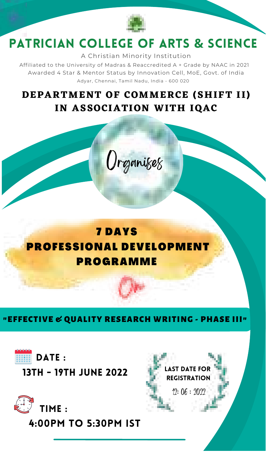

# PATRICIAN COLLEGE OF ARTS **&** SCIENCE

A Christian Minority Institution

Affiliated to the University of Madras & Reaccredited A + Grade by NAAC in 2021 Awarded 4 Star& Mentor Status by Innovation Cell, MoE, Govt. of India Adyar, Chennai, Tamil Nadu, India - 600 020

### **DEPARTMENT OF COMMERCE (SHIFT I I ) IN ASSOCIATION WITH IQAC**

**Organises** 

### 7 DAYS PROFESSIONAL DEVELOPMENT PROGRAMME

"EFFECTIVE & QUALITY RESEARCH WRITING -PHASE III"



13th - 19th June 2022



4:00pm to 5:30pm IST

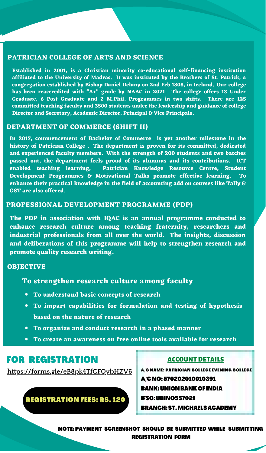#### **PATRICIAN COLLEGE OF ARTS AND SCIENCE**

**Established in 2001, is a Christian minority co-educational self-financing institution** arniiatea to the University of Madras. It was instituted by the Brothers of St. Patrick, a<br>congregation established by Bishop Daniel Delany on 2nd Feb 1808, in Ireland. Our college **has been reaccredited with "A+" grade by NAAC in 2021. The college offers 13 Under** Graduate, 6 Post Graduate and 2 M.Phil. Programmes in two shifts. There are 125<br>committed teaching faculty and 3500 students under the leadership and guidance of college **Director and Secretary, Academic Director, Principal & Vice Principals.**

#### **DEPARTMENT OF COMMERCE (SHIFT II)**

**In 2017, commencement of Bachelor of Commerce is yet another milestone in the history of Patrician College .The department is proven for its committed, dedicated** and experienced faculty members. With the strength of 200 students and two batches<br>passed out, the department feels proud of its alumnus and its contributions. ICT **enabled teaching learning, Patrician Knowledge Resource Centre, Student Development Programmes & Motivational Talks promote effective learning. To enhance their practical knowledge in the field of accounting add on courses like Tally & GST are also offered.**

#### **PROFESSIONAL DEVELOPMENT PROGRAMME (PDP)**

**The PDP in association with IQAC is an annual programme conducted to enhance research culture among teaching fraternity, researchers and industrial professionals from all over the world. The insights, discussion and deliberations of this programme will help to strengthen research and promote quality research writing.**

#### **OBJECTIVE**

#### **To strengthen research culture among faculty**

- **To understand basic concepts of research**
- **To impart capabilities for formulation and testing of hypothesis based on the nature of research**
- **To organize and conduct research in a phased manner**
- **To create an awareness on free online tools available for research**

#### FOR REGISTRATION

**<https://forms.gle/eB8pk4TfGFQvbHZV6>**

REGISTRATION FEES: RS. 120

ACCOUNT DETAILS

- A/C NAME: PATRICIAN COLLEGE EVENING COLLEGE
- A/CNO:570202010010391
- BANK:UNIONBANKOF INDIA

IFSC:UBINO557021

BRANCH:ST.MICHAELSACADEMY

NOTE:PAYMENT SCREENSHOT SHOULD BE SUBMITTED WHILE SUBMITTING REGISTRATION FORM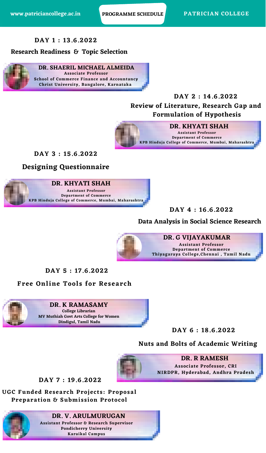#### **DAY 1 : 13.6.2022**

#### **Research Readiness & Topic Selection**



#### **DAY 2 :14.6.2022**

**Review of Literature, Research Gap and**

#### **Formulation of Hypothesis**



#### **DAY 3 : 15.6.2022**

**Designing Questionnaire**



**DAY 4 :16.6.2022**

#### **Data Analysis in Social Science Research**



**DAY 5 : 17.6.2022**

#### **Free Online Tools for Research**



#### **DAY 6 : 18.6.2022**

#### **Nuts and Bolts of Academic Writing Associate Professor, CRI NIRDPR, Hyderabad, Andhra Pradesh DR. R RAMESH**



**DAY 7 : 19.6.2022**

**UGC Funded Research Projects: Proposal**

**Preparation & Submission Protocol**